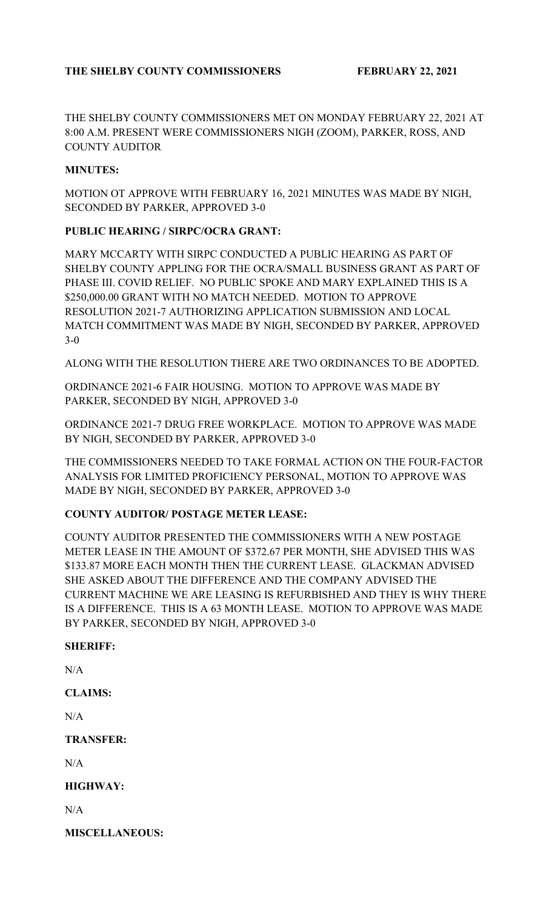THE SHELBY COUNTY COMMISSIONERS MET ON MONDAY FEBRUARY 22, 2021 AT 8:00 A.M. PRESENT WERE COMMISSIONERS NIGH (ZOOM), PARKER, ROSS, AND COUNTY AUDITOR

### **MINUTES:**

MOTION OT APPROVE WITH FEBRUARY 16, 2021 MINUTES WAS MADE BY NIGH, SECONDED BY PARKER, APPROVED 3-0

### **PUBLIC HEARING / SIRPC/OCRA GRANT:**

MARY MCCARTY WITH SIRPC CONDUCTED A PUBLIC HEARING AS PART OF SHELBY COUNTY APPLING FOR THE OCRA/SMALL BUSINESS GRANT AS PART OF PHASE III. COVID RELIEF. NO PUBLIC SPOKE AND MARY EXPLAINED THIS IS A \$250,000.00 GRANT WITH NO MATCH NEEDED. MOTION TO APPROVE RESOLUTION 2021-7 AUTHORIZING APPLICATION SUBMISSION AND LOCAL MATCH COMMITMENT WAS MADE BY NIGH, SECONDED BY PARKER, APPROVED 3-0

ALONG WITH THE RESOLUTION THERE ARE TWO ORDINANCES TO BE ADOPTED.

ORDINANCE 2021-6 FAIR HOUSING. MOTION TO APPROVE WAS MADE BY PARKER, SECONDED BY NIGH, APPROVED 3-0

ORDINANCE 2021-7 DRUG FREE WORKPLACE. MOTION TO APPROVE WAS MADE BY NIGH, SECONDED BY PARKER, APPROVED 3-0

THE COMMISSIONERS NEEDED TO TAKE FORMAL ACTION ON THE FOUR-FACTOR ANALYSIS FOR LIMITED PROFICIENCY PERSONAL, MOTION TO APPROVE WAS MADE BY NIGH, SECONDED BY PARKER, APPROVED 3-0

### **COUNTY AUDITOR/ POSTAGE METER LEASE:**

COUNTY AUDITOR PRESENTED THE COMMISSIONERS WITH A NEW POSTAGE METER LEASE IN THE AMOUNT OF \$372.67 PER MONTH, SHE ADVISED THIS WAS \$133.87 MORE EACH MONTH THEN THE CURRENT LEASE. GLACKMAN ADVISED SHE ASKED ABOUT THE DIFFERENCE AND THE COMPANY ADVISED THE CURRENT MACHINE WE ARE LEASING IS REFURBISHED AND THEY IS WHY THERE IS A DIFFERENCE. THIS IS A 63 MONTH LEASE. MOTION TO APPROVE WAS MADE BY PARKER, SECONDED BY NIGH, APPROVED 3-0

### **SHERIFF:**

N/A

# **CLAIMS:**

 $N/A$ 

### **TRANSFER:**

 $N/A$ 

# **HIGHWAY:**

 $N/A$ 

### **MISCELLANEOUS:**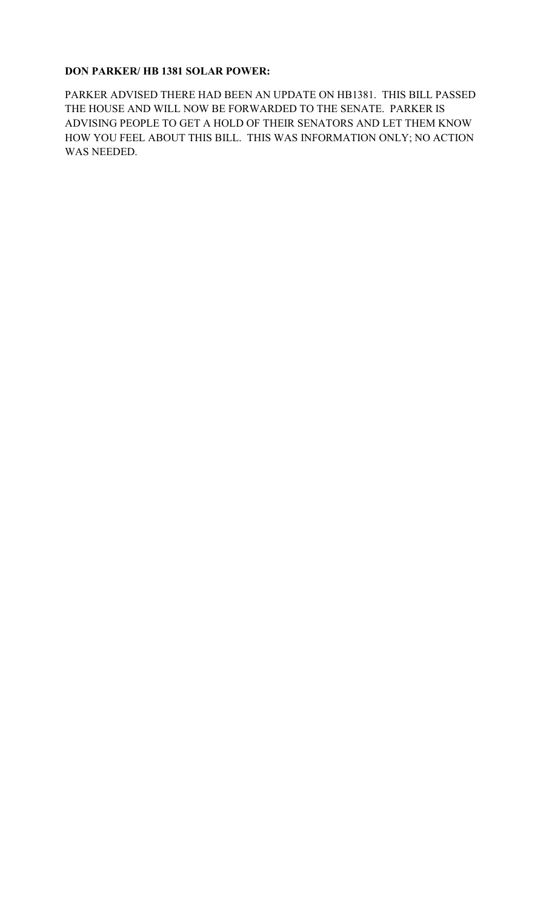### **DON PARKER/ HB 1381 SOLAR POWER:**

PARKER ADVISED THERE HAD BEEN AN UPDATE ON HB1381. THIS BILL PASSED THE HOUSE AND WILL NOW BE FORWARDED TO THE SENATE. PARKER IS ADVISING PEOPLE TO GET A HOLD OF THEIR SENATORS AND LET THEM KNOW HOW YOU FEEL ABOUT THIS BILL. THIS WAS INFORMATION ONLY; NO ACTION WAS NEEDED.